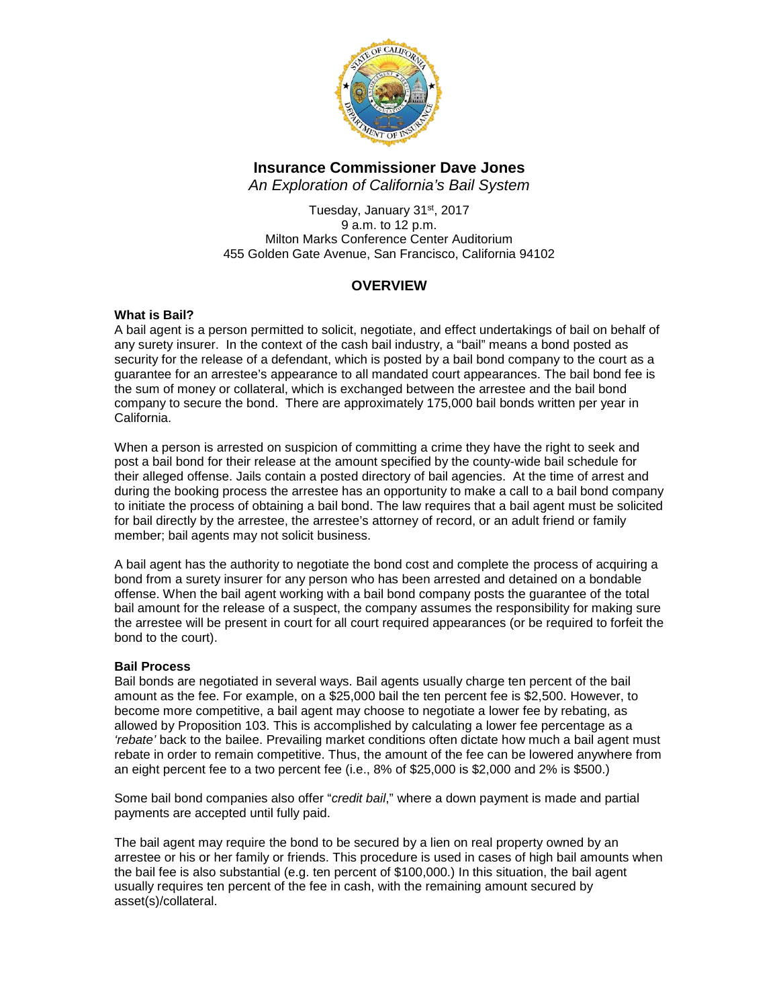

# **Insurance Commissioner Dave Jones**

*An Exploration of California's Bail System*

Tuesday, January 31st, 2017 9 a.m. to 12 p.m. Milton Marks Conference Center Auditorium 455 Golden Gate Avenue, San Francisco, California 94102

## **OVERVIEW**

## **What is Bail?**

A bail agent is a person permitted to solicit, negotiate, and effect undertakings of bail on behalf of any surety insurer. In the context of the cash bail industry, a "bail" means a bond posted as security for the release of a defendant, which is posted by a bail bond company to the court as a guarantee for an arrestee's appearance to all mandated court appearances. The bail bond fee is the sum of money or collateral, which is exchanged between the arrestee and the bail bond company to secure the bond. There are approximately 175,000 bail bonds written per year in California.

When a person is arrested on suspicion of committing a crime they have the right to seek and post a bail bond for their release at the amount specified by the county-wide bail schedule for their alleged offense. Jails contain a posted directory of bail agencies. At the time of arrest and during the booking process the arrestee has an opportunity to make a call to a bail bond company to initiate the process of obtaining a bail bond. The law requires that a bail agent must be solicited for bail directly by the arrestee, the arrestee's attorney of record, or an adult friend or family member; bail agents may not solicit business.

A bail agent has the authority to negotiate the bond cost and complete the process of acquiring a bond from a surety insurer for any person who has been arrested and detained on a bondable offense. When the bail agent working with a bail bond company posts the guarantee of the total bail amount for the release of a suspect, the company assumes the responsibility for making sure the arrestee will be present in court for all court required appearances (or be required to forfeit the bond to the court).

## **Bail Process**

Bail bonds are negotiated in several ways. Bail agents usually charge ten percent of the bail amount as the fee. For example, on a \$25,000 bail the ten percent fee is \$2,500. However, to become more competitive, a bail agent may choose to negotiate a lower fee by rebating, as allowed by Proposition 103. This is accomplished by calculating a lower fee percentage as a *'rebate'* back to the bailee. Prevailing market conditions often dictate how much a bail agent must rebate in order to remain competitive. Thus, the amount of the fee can be lowered anywhere from an eight percent fee to a two percent fee (i.e., 8% of \$25,000 is \$2,000 and 2% is \$500.)

Some bail bond companies also offer "*credit bail*," where a down payment is made and partial payments are accepted until fully paid.

The bail agent may require the bond to be secured by a lien on real property owned by an arrestee or his or her family or friends. This procedure is used in cases of high bail amounts when the bail fee is also substantial (e.g. ten percent of \$100,000.) In this situation, the bail agent usually requires ten percent of the fee in cash, with the remaining amount secured by asset(s)/collateral.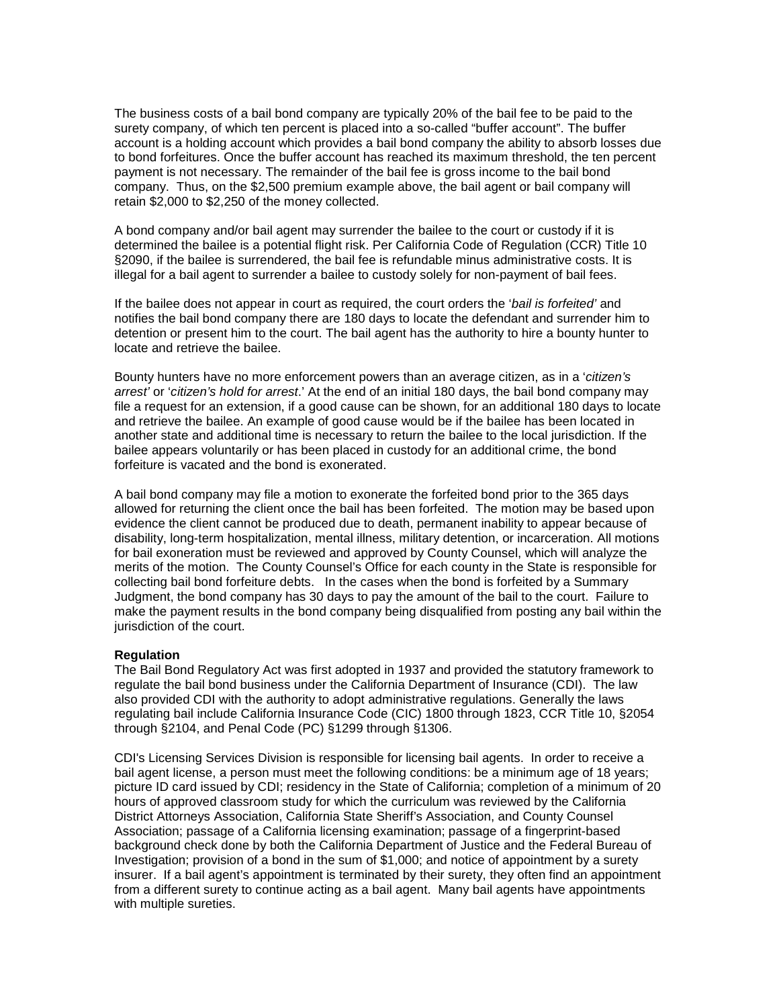The business costs of a bail bond company are typically 20% of the bail fee to be paid to the surety company, of which ten percent is placed into a so-called "buffer account". The buffer account is a holding account which provides a bail bond company the ability to absorb losses due to bond forfeitures. Once the buffer account has reached its maximum threshold, the ten percent payment is not necessary. The remainder of the bail fee is gross income to the bail bond company. Thus, on the \$2,500 premium example above, the bail agent or bail company will retain \$2,000 to \$2,250 of the money collected.

A bond company and/or bail agent may surrender the bailee to the court or custody if it is determined the bailee is a potential flight risk. Per California Code of Regulation (CCR) Title 10 §2090, if the bailee is surrendered, the bail fee is refundable minus administrative costs. It is illegal for a bail agent to surrender a bailee to custody solely for non-payment of bail fees.

If the bailee does not appear in court as required, the court orders the '*bail is forfeited'* and notifies the bail bond company there are 180 days to locate the defendant and surrender him to detention or present him to the court. The bail agent has the authority to hire a bounty hunter to locate and retrieve the bailee.

Bounty hunters have no more enforcement powers than an average citizen, as in a '*citizen's arrest'* or '*citizen's hold for arrest*.' At the end of an initial 180 days, the bail bond company may file a request for an extension, if a good cause can be shown, for an additional 180 days to locate and retrieve the bailee. An example of good cause would be if the bailee has been located in another state and additional time is necessary to return the bailee to the local jurisdiction. If the bailee appears voluntarily or has been placed in custody for an additional crime, the bond forfeiture is vacated and the bond is exonerated.

A bail bond company may file a motion to exonerate the forfeited bond prior to the 365 days allowed for returning the client once the bail has been forfeited. The motion may be based upon evidence the client cannot be produced due to death, permanent inability to appear because of disability, long-term hospitalization, mental illness, military detention, or incarceration. All motions for bail exoneration must be reviewed and approved by County Counsel, which will analyze the merits of the motion. The County Counsel's Office for each county in the State is responsible for collecting bail bond forfeiture debts. In the cases when the bond is forfeited by a Summary Judgment, the bond company has 30 days to pay the amount of the bail to the court. Failure to make the payment results in the bond company being disqualified from posting any bail within the jurisdiction of the court.

#### **Regulation**

The Bail Bond Regulatory Act was first adopted in 1937 and provided the statutory framework to regulate the bail bond business under the California Department of Insurance (CDI). The law also provided CDI with the authority to adopt administrative regulations. Generally the laws regulating bail include California Insurance Code (CIC) 1800 through 1823, CCR Title 10, §2054 through §2104, and Penal Code (PC) §1299 through §1306.

CDI's Licensing Services Division is responsible for licensing bail agents. In order to receive a bail agent license, a person must meet the following conditions: be a minimum age of 18 years; picture ID card issued by CDI; residency in the State of California; completion of a minimum of 20 hours of approved classroom study for which the curriculum was reviewed by the California District Attorneys Association, California State Sheriff's Association, and County Counsel Association; passage of a California licensing examination; passage of a fingerprint-based background check done by both the California Department of Justice and the Federal Bureau of Investigation; provision of a bond in the sum of \$1,000; and notice of appointment by a surety insurer. If a bail agent's appointment is terminated by their surety, they often find an appointment from a different surety to continue acting as a bail agent. Many bail agents have appointments with multiple sureties.